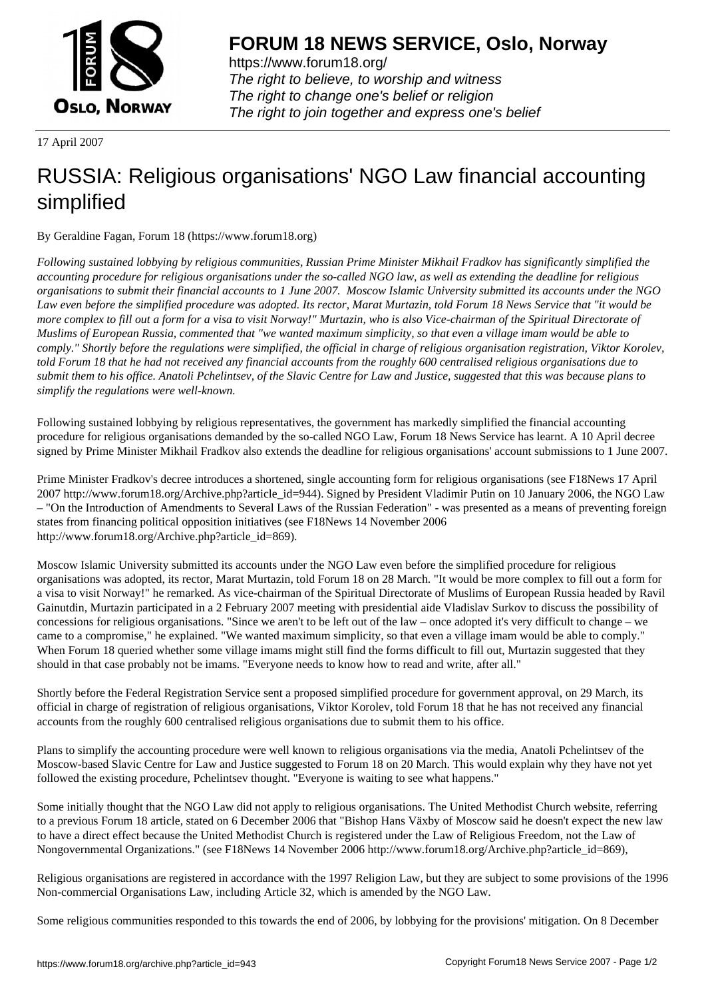

https://www.forum18.org/ The right to believe, to worship and witness The right to change one's belief or religion [The right to join together a](https://www.forum18.org/)nd express one's belief

17 April 2007

## [RUSSIA: Religi](https://www.forum18.org)ous organisations' NGO Law financial accounting simplified

By Geraldine Fagan, Forum 18 (https://www.forum18.org)

*Following sustained lobbying by religious communities, Russian Prime Minister Mikhail Fradkov has significantly simplified the accounting procedure for religious organisations under the so-called NGO law, as well as extending the deadline for religious organisations to submit their financial accounts to 1 June 2007. Moscow Islamic University submitted its accounts under the NGO Law even before the simplified procedure was adopted. Its rector, Marat Murtazin, told Forum 18 News Service that "it would be more complex to fill out a form for a visa to visit Norway!" Murtazin, who is also Vice-chairman of the Spiritual Directorate of Muslims of European Russia, commented that "we wanted maximum simplicity, so that even a village imam would be able to comply." Shortly before the regulations were simplified, the official in charge of religious organisation registration, Viktor Korolev, told Forum 18 that he had not received any financial accounts from the roughly 600 centralised religious organisations due to submit them to his office. Anatoli Pchelintsev, of the Slavic Centre for Law and Justice, suggested that this was because plans to simplify the regulations were well-known.*

Following sustained lobbying by religious representatives, the government has markedly simplified the financial accounting procedure for religious organisations demanded by the so-called NGO Law, Forum 18 News Service has learnt. A 10 April decree signed by Prime Minister Mikhail Fradkov also extends the deadline for religious organisations' account submissions to 1 June 2007.

Prime Minister Fradkov's decree introduces a shortened, single accounting form for religious organisations (see F18News 17 April 2007 http://www.forum18.org/Archive.php?article\_id=944). Signed by President Vladimir Putin on 10 January 2006, the NGO Law – "On the Introduction of Amendments to Several Laws of the Russian Federation" - was presented as a means of preventing foreign states from financing political opposition initiatives (see F18News 14 November 2006 http://www.forum18.org/Archive.php?article\_id=869).

Moscow Islamic University submitted its accounts under the NGO Law even before the simplified procedure for religious organisations was adopted, its rector, Marat Murtazin, told Forum 18 on 28 March. "It would be more complex to fill out a form for a visa to visit Norway!" he remarked. As vice-chairman of the Spiritual Directorate of Muslims of European Russia headed by Ravil Gainutdin, Murtazin participated in a 2 February 2007 meeting with presidential aide Vladislav Surkov to discuss the possibility of concessions for religious organisations. "Since we aren't to be left out of the law – once adopted it's very difficult to change – we came to a compromise," he explained. "We wanted maximum simplicity, so that even a village imam would be able to comply." When Forum 18 queried whether some village imams might still find the forms difficult to fill out, Murtazin suggested that they should in that case probably not be imams. "Everyone needs to know how to read and write, after all."

Shortly before the Federal Registration Service sent a proposed simplified procedure for government approval, on 29 March, its official in charge of registration of religious organisations, Viktor Korolev, told Forum 18 that he has not received any financial accounts from the roughly 600 centralised religious organisations due to submit them to his office.

Plans to simplify the accounting procedure were well known to religious organisations via the media, Anatoli Pchelintsev of the Moscow-based Slavic Centre for Law and Justice suggested to Forum 18 on 20 March. This would explain why they have not yet followed the existing procedure, Pchelintsev thought. "Everyone is waiting to see what happens."

Some initially thought that the NGO Law did not apply to religious organisations. The United Methodist Church website, referring to a previous Forum 18 article, stated on 6 December 2006 that "Bishop Hans Växby of Moscow said he doesn't expect the new law to have a direct effect because the United Methodist Church is registered under the Law of Religious Freedom, not the Law of Nongovernmental Organizations." (see F18News 14 November 2006 http://www.forum18.org/Archive.php?article\_id=869),

Religious organisations are registered in accordance with the 1997 Religion Law, but they are subject to some provisions of the 1996 Non-commercial Organisations Law, including Article 32, which is amended by the NGO Law.

Some religious communities responded to this towards the end of 2006, by lobbying for the provisions' mitigation. On 8 December